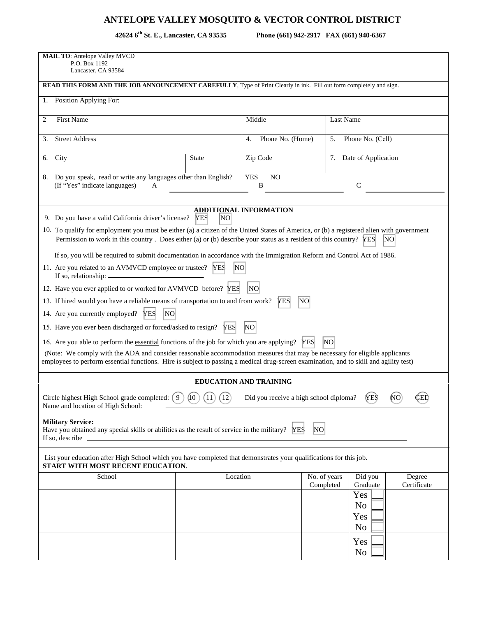## **ANTELOPE VALLEY MOSQUITO & VECTOR CONTROL DISTRICT**

42624 6<sup>th</sup> St. E., Lancaster, CA 93535

**th St. E., Lancaster, CA 93535 Phone (661) 942-2917 FAX (661) 940-6367** 

| <b>MAIL TO: Antelope Valley MVCD</b><br>P.O. Box 1192<br>Lancaster, CA 93584                                                                                                                                                                                                    |                                                                        |                               |                              |                        |                       |  |  |  |
|---------------------------------------------------------------------------------------------------------------------------------------------------------------------------------------------------------------------------------------------------------------------------------|------------------------------------------------------------------------|-------------------------------|------------------------------|------------------------|-----------------------|--|--|--|
| READ THIS FORM AND THE JOB ANNOUNCEMENT CAREFULLY, Type of Print Clearly in ink. Fill out form completely and sign.                                                                                                                                                             |                                                                        |                               |                              |                        |                       |  |  |  |
| Position Applying For:<br>1.                                                                                                                                                                                                                                                    |                                                                        |                               |                              |                        |                       |  |  |  |
| <b>First Name</b><br>2                                                                                                                                                                                                                                                          |                                                                        | Middle                        |                              | Last Name              |                       |  |  |  |
| <b>Street Address</b><br>3.                                                                                                                                                                                                                                                     |                                                                        | Phone No. (Home)<br>4.        | 5.                           | Phone No. (Cell)       |                       |  |  |  |
| City<br>6.                                                                                                                                                                                                                                                                      | <b>State</b>                                                           | Zip Code                      |                              | 7. Date of Application |                       |  |  |  |
| Do you speak, read or write any languages other than English?<br><b>YES</b><br>N <sub>O</sub><br>8.<br>$\mathsf{C}$<br>(If "Yes" indicate languages)<br>B<br>A                                                                                                                  |                                                                        |                               |                              |                        |                       |  |  |  |
| <b>ADDITIONAL INFORMATION</b><br>9. Do you have a valid California driver's license?<br><b>YES</b><br>NO                                                                                                                                                                        |                                                                        |                               |                              |                        |                       |  |  |  |
| 10. To qualify for employment you must be either (a) a citizen of the United States of America, or (b) a registered alien with government<br>Permission to work in this country. Does either (a) or (b) describe your status as a resident of this country? $\text{YES}$<br>NO. |                                                                        |                               |                              |                        |                       |  |  |  |
| If so, you will be required to submit documentation in accordance with the Immigration Reform and Control Act of 1986.                                                                                                                                                          |                                                                        |                               |                              |                        |                       |  |  |  |
| 11. Are you related to an AVMVCD employee or trustee? YES<br>NΟ<br>If so, relationship: _                                                                                                                                                                                       |                                                                        |                               |                              |                        |                       |  |  |  |
| 12. Have you ever applied to or worked for AVMVCD before? YES<br>NO                                                                                                                                                                                                             |                                                                        |                               |                              |                        |                       |  |  |  |
| 13. If hired would you have a reliable means of transportation to and from work?                                                                                                                                                                                                |                                                                        | lΝO<br><b>YES</b>             |                              |                        |                       |  |  |  |
| 14. Are you currently employed?<br> NO<br><b>YES</b>                                                                                                                                                                                                                            |                                                                        |                               |                              |                        |                       |  |  |  |
|                                                                                                                                                                                                                                                                                 | 15. Have you ever been discharged or forced/asked to resign? YES<br>NΟ |                               |                              |                        |                       |  |  |  |
| 16. Are you able to perform the essential functions of the job for which you are applying?                                                                                                                                                                                      |                                                                        |                               | N <sub>O</sub><br><b>YES</b> |                        |                       |  |  |  |
| (Note: We comply with the ADA and consider reasonable accommodation measures that may be necessary for eligible applicants<br>employees to perform essential functions. Hire is subject to passing a medical drug-screen examination, and to skill and agility test)            |                                                                        |                               |                              |                        |                       |  |  |  |
|                                                                                                                                                                                                                                                                                 |                                                                        | <b>EDUCATION AND TRAINING</b> |                              |                        |                       |  |  |  |
| Circle highest High School grade completed: $(9)$<br>(10)<br>$\left(12\right)$<br>(YES)<br>Did you receive a high school diploma?<br>Name and location of High School:                                                                                                          |                                                                        |                               |                              |                        |                       |  |  |  |
| <b>Military Service:</b><br>Have you obtained any special skills or abilities as the result of service in the military? YES<br>If so, describe                                                                                                                                  |                                                                        |                               | NO                           |                        |                       |  |  |  |
| List your education after High School which you have completed that demonstrates your qualifications for this job.<br>START WITH MOST RECENT EDUCATION.                                                                                                                         |                                                                        |                               |                              |                        |                       |  |  |  |
| School                                                                                                                                                                                                                                                                          |                                                                        | Location                      | No. of years<br>Completed    | Did you<br>Graduate    | Degree<br>Certificate |  |  |  |
|                                                                                                                                                                                                                                                                                 |                                                                        |                               |                              | Yes<br>No              |                       |  |  |  |
|                                                                                                                                                                                                                                                                                 |                                                                        |                               |                              | Yes<br>No              |                       |  |  |  |
|                                                                                                                                                                                                                                                                                 |                                                                        |                               |                              | Yes                    |                       |  |  |  |
|                                                                                                                                                                                                                                                                                 |                                                                        |                               |                              | No                     |                       |  |  |  |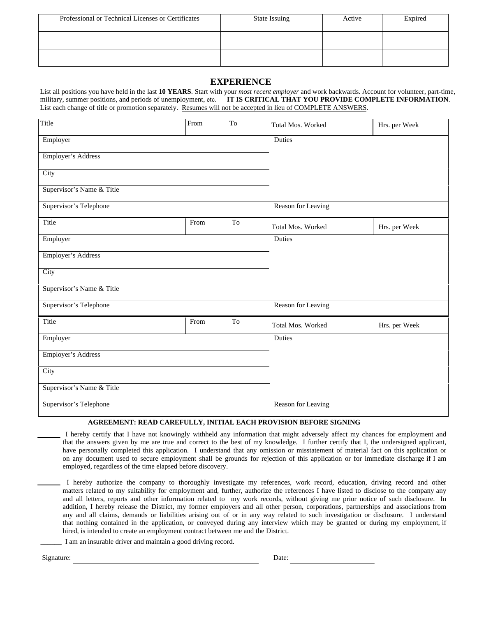| Professional or Technical Licenses or Certificates | <b>State Issuing</b> | Active | Expired |
|----------------------------------------------------|----------------------|--------|---------|
|                                                    |                      |        |         |
|                                                    |                      |        |         |

## **EXPERIENCE**

List all positions you have held in the last **10 YEARS**. Start with your *most recent employer* and work backwards. Account for volunteer, part-time, military, summer positions, and periods of unemployment, etc. **IT IS CRITICAL THAT YOU PROVIDE COMPLETE INFORMATION**. List each change of title or promotion separately. Resumes will not be accepted in lieu of COMPLETE ANSWERS.

| Title                     | From | T <sub>o</sub> | Total Mos. Worked         | Hrs. per Week |  |
|---------------------------|------|----------------|---------------------------|---------------|--|
| Employer                  |      | Duties         |                           |               |  |
| <b>Employer's Address</b> |      |                |                           |               |  |
| City                      |      |                |                           |               |  |
| Supervisor's Name & Title |      |                |                           |               |  |
| Supervisor's Telephone    |      |                | Reason for Leaving        |               |  |
| Title                     | From | To             | Total Mos. Worked         | Hrs. per Week |  |
| Employer                  |      | Duties         |                           |               |  |
| Employer's Address        |      |                |                           |               |  |
| City                      |      |                |                           |               |  |
| Supervisor's Name & Title |      |                |                           |               |  |
| Supervisor's Telephone    |      |                | Reason for Leaving        |               |  |
| Title                     | From | To             | Total Mos. Worked         | Hrs. per Week |  |
| Employer                  |      | <b>Duties</b>  |                           |               |  |
| Employer's Address        |      |                |                           |               |  |
| City                      |      |                |                           |               |  |
| Supervisor's Name & Title |      |                |                           |               |  |
| Supervisor's Telephone    |      |                | <b>Reason for Leaving</b> |               |  |

## **AGREEMENT: READ CAREFULLY, INITIAL EACH PROVISION BEFORE SIGNING**

 I hereby certify that I have not knowingly withheld any information that might adversely affect my chances for employment and that the answers given by me are true and correct to the best of my knowledge. I further certify that I, the undersigned applicant, have personally completed this application. I understand that any omission or misstatement of material fact on this application or on any document used to secure employment shall be grounds for rejection of this application or for immediate discharge if I am employed, regardless of the time elapsed before discovery.

I hereby authorize the company to thoroughly investigate my references, work record, education, driving record and other matters related to my suitability for employment and, further, authorize the references I have listed to disclose to the company any and all letters, reports and other information related to my work records, without giving me prior notice of such disclosure. In addition, I hereby release the District, my former employers and all other person, corporations, partnerships and associations from any and all claims, demands or liabilities arising out of or in any way related to such investigation or disclosure. I understand that nothing contained in the application, or conveyed during any interview which may be granted or during my employment, if hired, is intended to create an employment contract between me and the District.

I am an insurable driver and maintain a good driving record.

Signature: Date: Date: Date: Date: Date: Date: Date: Date: Date: Date: Date: Date: Date: Date: Date: Date: Date: Date: Date: Date: Date: Date: Date: Date: Date: Date: Date: Date: Date: Date: Date: Date: Date: Date: Date: D